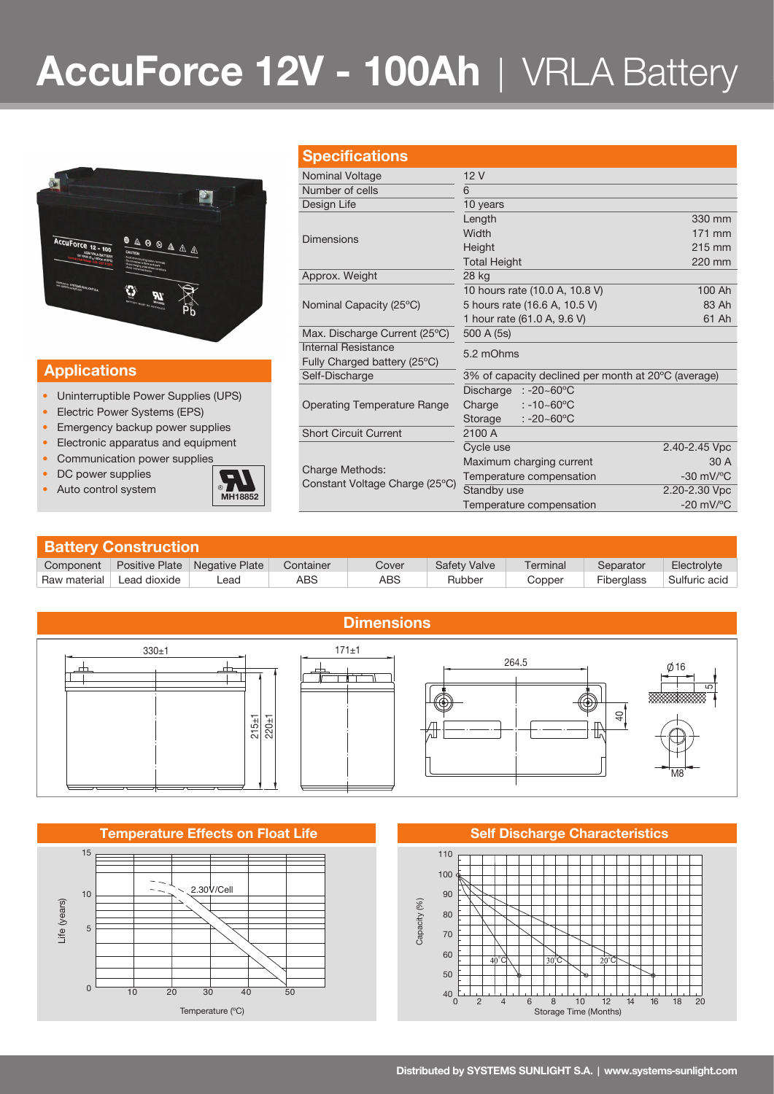# **AccuForce 12V - 100Ah** | VRLA Battery



### **Applications**

- Uninterruptible Power Supplies (UPS)
- Electric Power Systems (EPS)
- Emergency backup power supplies
- Electronic apparatus and equipment
- Communication power supplies
- DC power supplies
- 



| <b>Specifications</b>                             |                                                     |                                |  |  |
|---------------------------------------------------|-----------------------------------------------------|--------------------------------|--|--|
| Nominal Voltage                                   | 12V                                                 |                                |  |  |
| Number of cells                                   | 6                                                   |                                |  |  |
|                                                   |                                                     |                                |  |  |
| Design Life                                       | 10 years                                            |                                |  |  |
|                                                   | Length                                              | 330 mm                         |  |  |
| <b>Dimensions</b>                                 | Width                                               | 171 mm                         |  |  |
|                                                   | Height                                              | 215 mm                         |  |  |
|                                                   | <b>Total Height</b>                                 | 220 mm                         |  |  |
| Approx. Weight                                    | 28 kg                                               |                                |  |  |
| Nominal Capacity (25°C)                           | 10 hours rate (10.0 A, 10.8 V)                      | 100 Ah                         |  |  |
|                                                   | 5 hours rate (16.6 A, 10.5 V)                       | 83 Ah                          |  |  |
|                                                   | 1 hour rate (61.0 A, 9.6 V)                         | 61 Ah                          |  |  |
| Max. Discharge Current (25°C)                     | 500 A (5s)                                          |                                |  |  |
| Internal Resistance                               | 5.2 mOhms                                           |                                |  |  |
| Fully Charged battery (25°C)                      |                                                     |                                |  |  |
| Self-Discharge                                    | 3% of capacity declined per month at 20°C (average) |                                |  |  |
|                                                   | Discharge<br>$: -20 - 60^{\circ}$ C                 |                                |  |  |
| <b>Operating Temperature Range</b>                | Charge<br>$: -10 - 60^{\circ}$ C                    |                                |  |  |
|                                                   | $: -20 - 60^{\circ}$ C<br>Storage                   |                                |  |  |
| <b>Short Circuit Current</b>                      | 2100 A                                              |                                |  |  |
|                                                   | Cycle use                                           | 2.40-2.45 Vpc                  |  |  |
| Charge Methods:<br>Constant Voltage Charge (25°C) |                                                     | 30 A                           |  |  |
|                                                   | Maximum charging current                            |                                |  |  |
|                                                   | Temperature compensation                            | $-30$ mV/ $^{\circ}$ C         |  |  |
|                                                   | Standby use                                         | 2.20-2.30 Vpc                  |  |  |
|                                                   | Temperature compensation                            | $-20$ mV/ $\mathrm{^{\circ}C}$ |  |  |

| <b>Battery Construction</b> |                |                |           |       |              |          |                   |               |  |  |
|-----------------------------|----------------|----------------|-----------|-------|--------------|----------|-------------------|---------------|--|--|
| Component                   | Positive Plate | Negative Plate | Container | Cover | Safety Valve | Terminal | Separator         | Electrolyte   |  |  |
| Raw material                | Lead dioxide   | -ead           | ABS       | ABS   | Rubber       | Copper   | <b>Fiberglass</b> | Sulfuric acid |  |  |



### **Temperature Effects on Float Life Self Discharge Characteristics**